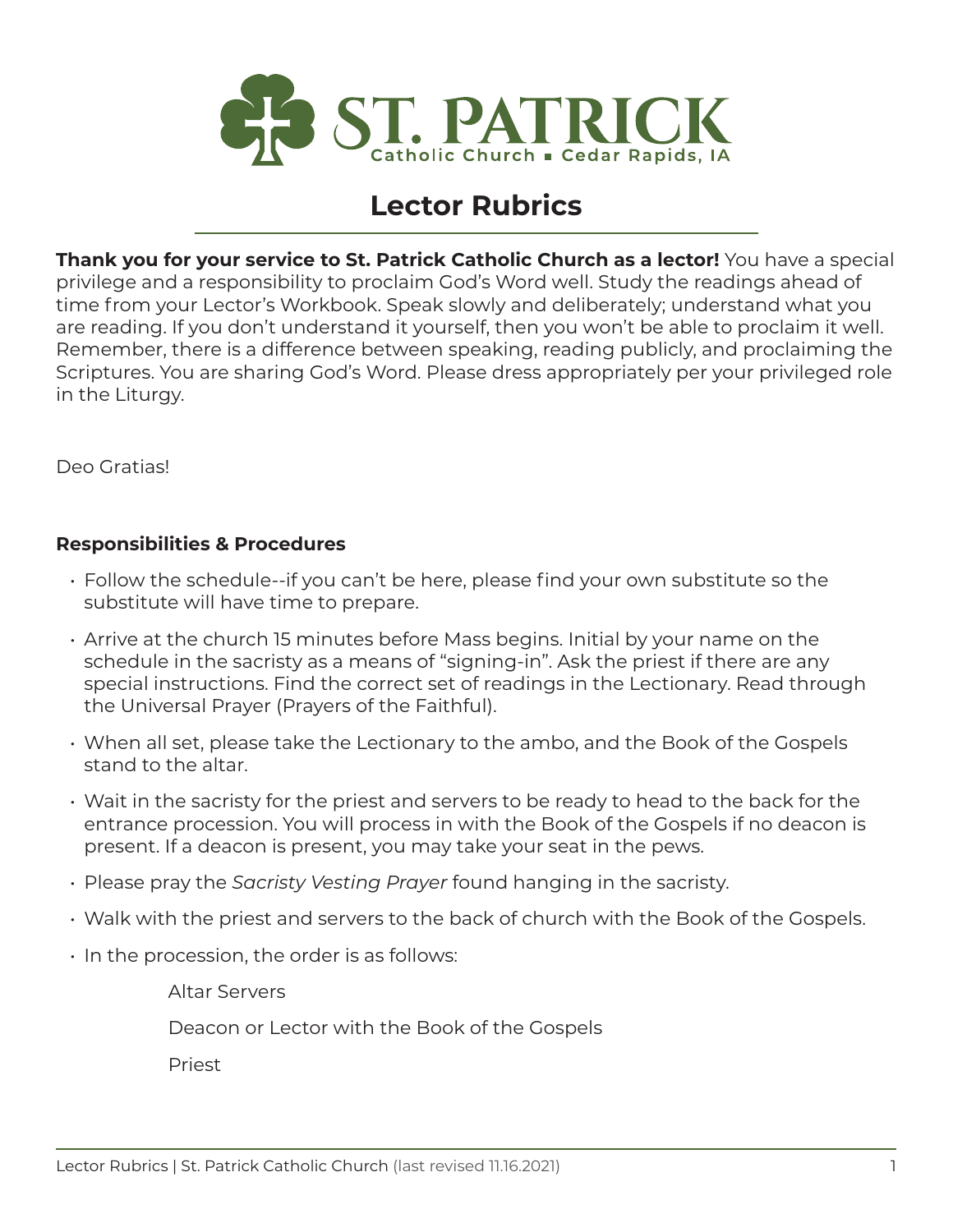

## **Lector Rubrics**

**Thank you for your service to St. Patrick Catholic Church as a lector!** You have a special privilege and a responsibility to proclaim God's Word well. Study the readings ahead of time from your Lector's Workbook. Speak slowly and deliberately; understand what you are reading. If you don't understand it yourself, then you won't be able to proclaim it well. Remember, there is a difference between speaking, reading publicly, and proclaiming the Scriptures. You are sharing God's Word. Please dress appropriately per your privileged role in the Liturgy.

Deo Gratias!

## **Responsibilities & Procedures**

- Follow the schedule--if you can't be here, please find your own substitute so the substitute will have time to prepare.
- Arrive at the church 15 minutes before Mass begins. Initial by your name on the schedule in the sacristy as a means of "signing-in". Ask the priest if there are any special instructions. Find the correct set of readings in the Lectionary. Read through the Universal Prayer (Prayers of the Faithful).
- When all set, please take the Lectionary to the ambo, and the Book of the Gospels stand to the altar.
- Wait in the sacristy for the priest and servers to be ready to head to the back for the entrance procession. You will process in with the Book of the Gospels if no deacon is present. If a deacon is present, you may take your seat in the pews.
- Please pray the *Sacristy Vesting Prayer* found hanging in the sacristy.
- Walk with the priest and servers to the back of church with the Book of the Gospels.
- $\cdot$  In the procession, the order is as follows:

 Altar Servers Deacon or Lector with the Book of the Gospels Priest